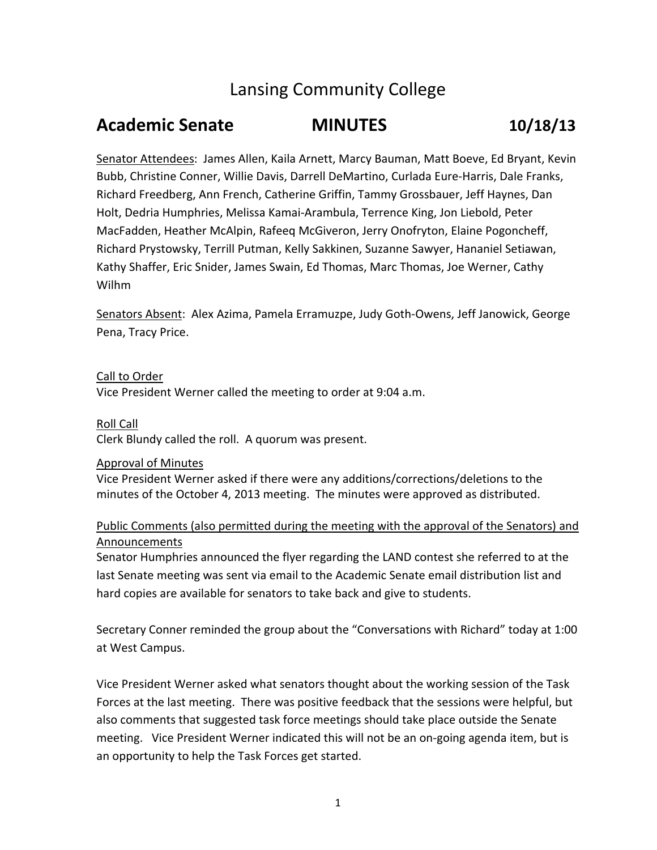# Lansing Community College

# **Academic Senate MINUTES 10/18/13**

Senator Attendees: James Allen, Kaila Arnett, Marcy Bauman, Matt Boeve, Ed Bryant, Kevin Bubb, Christine Conner, Willie Davis, Darrell DeMartino, Curlada Eure‐Harris, Dale Franks, Richard Freedberg, Ann French, Catherine Griffin, Tammy Grossbauer, Jeff Haynes, Dan Holt, Dedria Humphries, Melissa Kamai‐Arambula, Terrence King, Jon Liebold, Peter MacFadden, Heather McAlpin, Rafeeq McGiveron, Jerry Onofryton, Elaine Pogoncheff, Richard Prystowsky, Terrill Putman, Kelly Sakkinen, Suzanne Sawyer, Hananiel Setiawan, Kathy Shaffer, Eric Snider, James Swain, Ed Thomas, Marc Thomas, Joe Werner, Cathy Wilhm

Senators Absent: Alex Azima, Pamela Erramuzpe, Judy Goth‐Owens, Jeff Janowick, George Pena, Tracy Price.

Call to Order Vice President Werner called the meeting to order at 9:04 a.m.

Roll Call Clerk Blundy called the roll. A quorum was present.

## Approval of Minutes

Vice President Werner asked if there were any additions/corrections/deletions to the minutes of the October 4, 2013 meeting. The minutes were approved as distributed.

# Public Comments (also permitted during the meeting with the approval of the Senators) and Announcements

Senator Humphries announced the flyer regarding the LAND contest she referred to at the last Senate meeting was sent via email to the Academic Senate email distribution list and hard copies are available for senators to take back and give to students.

Secretary Conner reminded the group about the "Conversations with Richard" today at 1:00 at West Campus.

Vice President Werner asked what senators thought about the working session of the Task Forces at the last meeting. There was positive feedback that the sessions were helpful, but also comments that suggested task force meetings should take place outside the Senate meeting. Vice President Werner indicated this will not be an on‐going agenda item, but is an opportunity to help the Task Forces get started.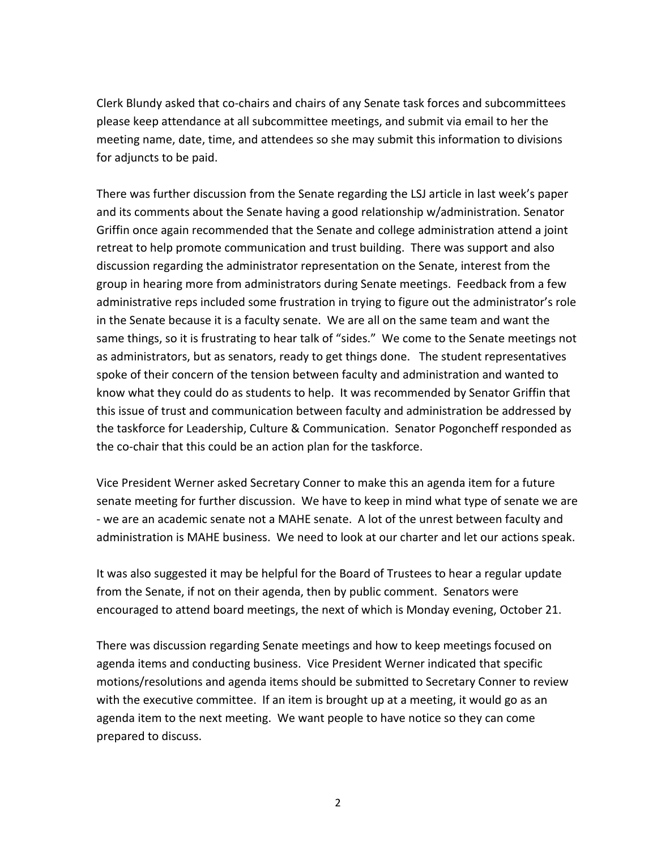Clerk Blundy asked that co‐chairs and chairs of any Senate task forces and subcommittees please keep attendance at all subcommittee meetings, and submit via email to her the meeting name, date, time, and attendees so she may submit this information to divisions for adjuncts to be paid.

There was further discussion from the Senate regarding the LSJ article in last week's paper and its comments about the Senate having a good relationship w/administration. Senator Griffin once again recommended that the Senate and college administration attend a joint retreat to help promote communication and trust building. There was support and also discussion regarding the administrator representation on the Senate, interest from the group in hearing more from administrators during Senate meetings. Feedback from a few administrative reps included some frustration in trying to figure out the administrator's role in the Senate because it is a faculty senate. We are all on the same team and want the same things, so it is frustrating to hear talk of "sides." We come to the Senate meetings not as administrators, but as senators, ready to get things done. The student representatives spoke of their concern of the tension between faculty and administration and wanted to know what they could do as students to help. It was recommended by Senator Griffin that this issue of trust and communication between faculty and administration be addressed by the taskforce for Leadership, Culture & Communication. Senator Pogoncheff responded as the co‐chair that this could be an action plan for the taskforce.

Vice President Werner asked Secretary Conner to make this an agenda item for a future senate meeting for further discussion. We have to keep in mind what type of senate we are ‐ we are an academic senate not a MAHE senate. A lot of the unrest between faculty and administration is MAHE business. We need to look at our charter and let our actions speak.

It was also suggested it may be helpful for the Board of Trustees to hear a regular update from the Senate, if not on their agenda, then by public comment. Senators were encouraged to attend board meetings, the next of which is Monday evening, October 21.

There was discussion regarding Senate meetings and how to keep meetings focused on agenda items and conducting business. Vice President Werner indicated that specific motions/resolutions and agenda items should be submitted to Secretary Conner to review with the executive committee. If an item is brought up at a meeting, it would go as an agenda item to the next meeting. We want people to have notice so they can come prepared to discuss.